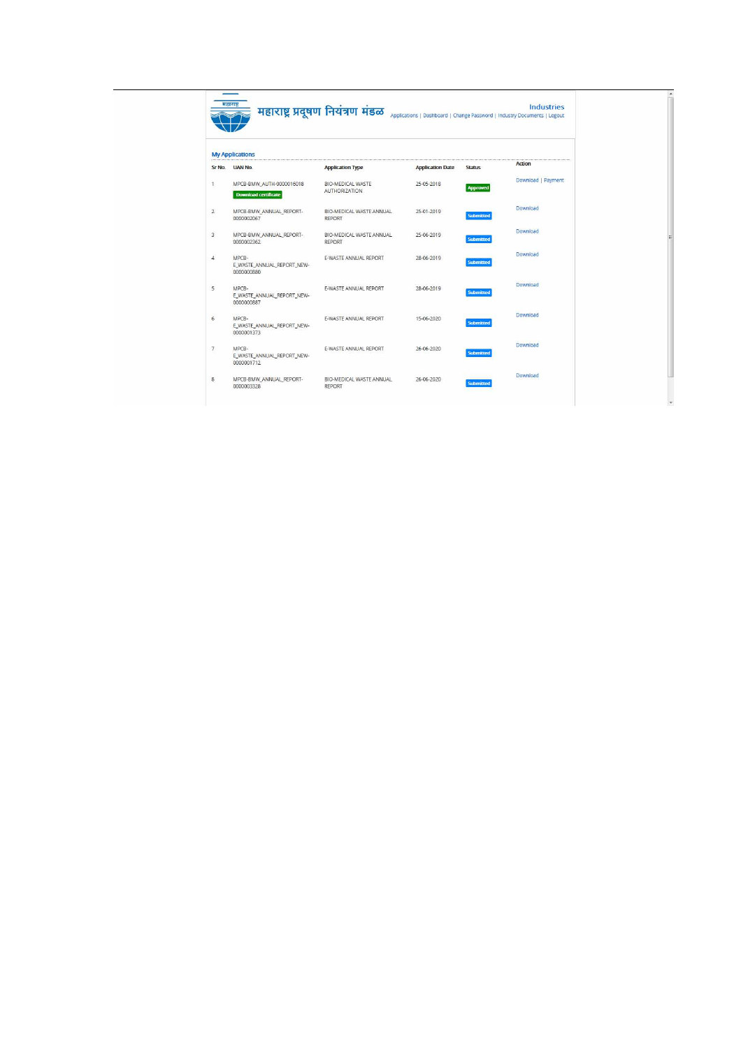| Sr No.         | <b>My Applications</b><br><b>UAN No.</b>                | <b>Application Type</b>                   | <b>Application Date</b> | <b>Status</b>    | Action             |
|----------------|---------------------------------------------------------|-------------------------------------------|-------------------------|------------------|--------------------|
| 1              | MPCB-BMW_AUTH-0000016018<br><b>Download certificate</b> | BIO-MEDICAL WASTE<br><b>AUTHORIZATION</b> | 25-05-2018              | Approved         | Download   Payment |
| $\overline{2}$ | MPCB-BMW_ANNUAL_REPORT-<br>0000002067                   | BIO-MEDICAL WASTE ANNUAL<br><b>REPORT</b> | 25-01-2019              | <b>Submitted</b> | Download           |
| $\overline{3}$ | MPCB-BMW ANNUAL REPORT-<br>0000002362                   | BIO-MEDICAL WASTE ANNUAL<br><b>REPORT</b> | 25-06-2019              | <b>Submitted</b> | Download           |
| $\Delta$       | MPCB-<br>E_WASTE_ANNUAL_REPORT_NEW-<br>0000000880       | <b>E-WASTE ANNUAL REPORT</b>              | 28-06-2019              | <b>Submitted</b> | Download           |
| 5              | MPCB-<br>E WASTE ANNUAL REPORT NEW-<br>0000000887       | E-WASTE ANNUAL REPORT                     | 28-06-2019              | <b>Submitted</b> | Download           |
| 6              | MPCB-<br>E WASTE ANNUAL REPORT NEW-<br>0000001373       | E-WASTE ANNUAL REPORT                     | 15-06-2020              | Submitted        | Download           |
| $\overline{7}$ | MPCB-<br>E_WASTE_ANNUAL_REPORT_NEW-<br>0000001712       | E-WASTE ANNUAL REPORT                     | 26-06-2020              | <b>Submitted</b> | Download           |
| 8              | MPCB-BMW ANNUAL REPORT-<br>0000003328                   | BIO-MEDICAL WASTE ANNUAL<br>REPORT        | 26-06-2020              | <b>Submitted</b> | Download           |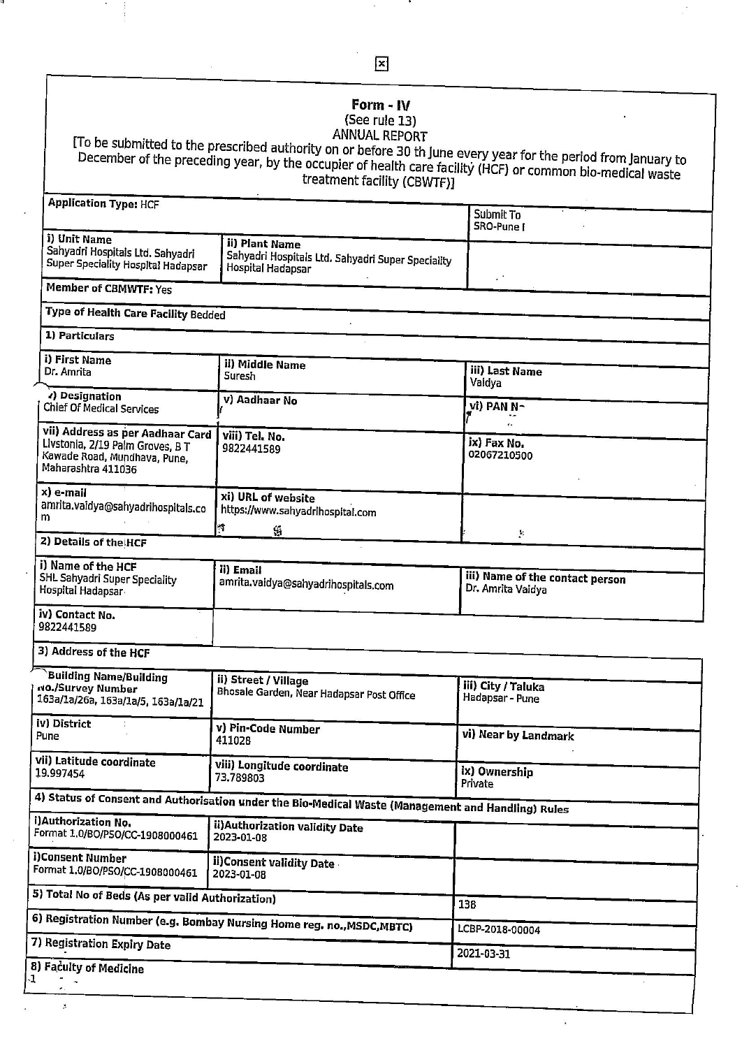## Form -  $IV$

**Form - IV**<br>(See rule 13)<br>ANNUAL REPORT<br>ANNUAL REPORT<br>December of the preceding year, by the occupier of health care facility (HCF) or common bio-medical waste<br>treatment facility (CBWTF)]

| Application Type: HCF                                                                                                      |                                                                                                    | Submit To<br>SRO-Pune I                              |  |  |  |
|----------------------------------------------------------------------------------------------------------------------------|----------------------------------------------------------------------------------------------------|------------------------------------------------------|--|--|--|
| i) Unit Name<br>Sahyadri Hospitals Ltd. Sahyadri<br><b>Super Speciality Hospital Hadapsar</b>                              | ii) Plant Name<br>Sahyadri Hospitals Ltd. Sahyadri Super Speciality<br><b>Hospital Hadapsar</b>    |                                                      |  |  |  |
| <b>Member of CBMWTF: Yes</b>                                                                                               |                                                                                                    | $\sim$ $^{\circ}$                                    |  |  |  |
| Type of Health Care Facility Bedded                                                                                        |                                                                                                    |                                                      |  |  |  |
| 1) Particulars                                                                                                             |                                                                                                    |                                                      |  |  |  |
| i) First Name                                                                                                              | ii) Middle Name                                                                                    |                                                      |  |  |  |
| Dr. Amrita                                                                                                                 | <b>Suresh</b>                                                                                      | <b>iii)</b> Last Name<br>Vaidya                      |  |  |  |
| 1) Designation<br><b>Chief Of Medical Services</b>                                                                         | <b>v) Aadhaar No</b>                                                                               | vi) PAN N-                                           |  |  |  |
| vii) Address as per Aadhaar Card<br>Livstonia, 2/19 Palm Groves, B T<br>Kawade Road, Mundhava, Pune,<br>Maharashtra 411036 | viii) Tel. No.<br>9822441589                                                                       | ix) Fax No.<br>02067210500                           |  |  |  |
| x) e-mail<br>amrita.vaidya@sahyadrihospitals.co<br>m                                                                       | xi) URL of website<br>https://www.sahyadrihospital.com<br>$\mathcal{N}$                            |                                                      |  |  |  |
| 2) Details of the HCF                                                                                                      | 囁                                                                                                  | Þ.                                                   |  |  |  |
| i) Name of the HCF<br>SHL Sahyadri Super Speciality<br>Hospital Hadapsar                                                   | ii) Email<br>amrita.vaidya@sahyadrihospitals.com                                                   | iii) Name of the contact person<br>Dr. Amrita Vaidya |  |  |  |
| iv) Contact No.<br>9822441589                                                                                              |                                                                                                    |                                                      |  |  |  |
| 3) Address of the HCF                                                                                                      |                                                                                                    |                                                      |  |  |  |
| <b>Building Name/Building</b><br>NO./Survey Number<br>163a/1a/26a, 163a/1a/5, 163a/1a/21                                   | ii) Street / Village<br>Bhosale Garden, Near Hadapsar Post Office                                  | iii) City / Taluka<br>Hadapsar - Pune                |  |  |  |
| <b>iv) District</b><br>Pune                                                                                                | v) Pin-Code Number<br>411028                                                                       | vi) Near by Landmark                                 |  |  |  |
| vii) Latitude coordinate<br>19.997454                                                                                      | viii) Longitude coordinate<br>73.789803                                                            | ix) Ownership<br>Private                             |  |  |  |
|                                                                                                                            | 4) Status of Consent and Authorisation under the Bio-Medical Waste (Management and Handling) Rules |                                                      |  |  |  |
| i)Authorization No.<br>Format 1.0/BO/PSO/CC-1908000461                                                                     | ii) Authorization validity Date<br>2023-01-08                                                      |                                                      |  |  |  |
| <b>i)Consent Number</b><br>Format 1.0/BO/PSO/CC-1908000461                                                                 | ii)Consent validity Date<br>2023-01-08                                                             |                                                      |  |  |  |
| 5) Total No of Beds (As per valid Authorization)                                                                           |                                                                                                    | 138                                                  |  |  |  |
|                                                                                                                            | 6) Registration Number (e.g. Bombay Nursing Home reg. no., MSDC, MBTC)                             | LCBP-2018-00004                                      |  |  |  |
| 7) Registration Expiry Date                                                                                                |                                                                                                    | 2021-03-31                                           |  |  |  |
| 8) Faculty of Medicine                                                                                                     |                                                                                                    |                                                      |  |  |  |
| $\bullet$ .                                                                                                                |                                                                                                    |                                                      |  |  |  |

i.